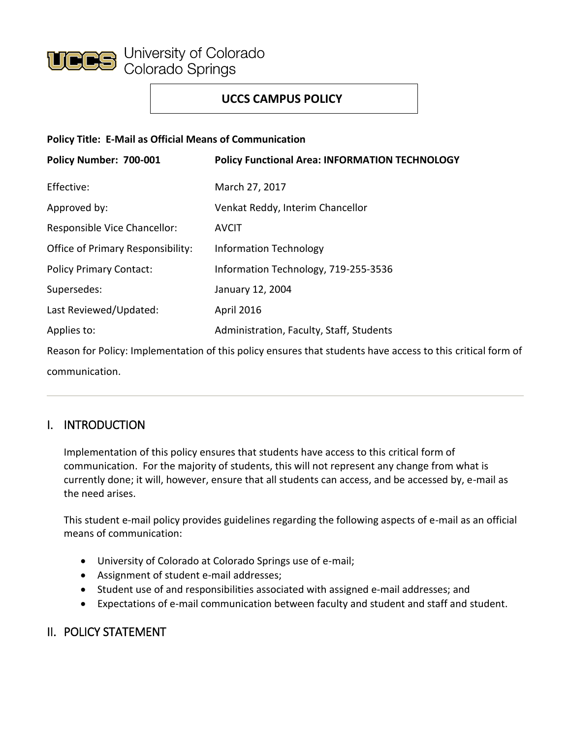

## **UCCS CAMPUS POLICY**

#### **Policy Title: E-Mail as Official Means of Communication**

| Policy Number: 700-001            | <b>Policy Functional Area: INFORMATION TECHNOLOGY</b>                                                       |
|-----------------------------------|-------------------------------------------------------------------------------------------------------------|
| Effective:                        | March 27, 2017                                                                                              |
| Approved by:                      | Venkat Reddy, Interim Chancellor                                                                            |
| Responsible Vice Chancellor:      | <b>AVCIT</b>                                                                                                |
| Office of Primary Responsibility: | <b>Information Technology</b>                                                                               |
| <b>Policy Primary Contact:</b>    | Information Technology, 719-255-3536                                                                        |
| Supersedes:                       | January 12, 2004                                                                                            |
| Last Reviewed/Updated:            | <b>April 2016</b>                                                                                           |
| Applies to:                       | Administration, Faculty, Staff, Students                                                                    |
|                                   | Reason for Policy: Implementation of this policy ensures that students have access to this critical form of |

communication.

### I. INTRODUCTION

Implementation of this policy ensures that students have access to this critical form of communication. For the majority of students, this will not represent any change from what is currently done; it will, however, ensure that all students can access, and be accessed by, e-mail as the need arises.

This student e-mail policy provides guidelines regarding the following aspects of e-mail as an official means of communication:

- University of Colorado at Colorado Springs use of e-mail;
- Assignment of student e-mail addresses;
- Student use of and responsibilities associated with assigned e-mail addresses; and
- Expectations of e-mail communication between faculty and student and staff and student.

### II. POLICY STATEMENT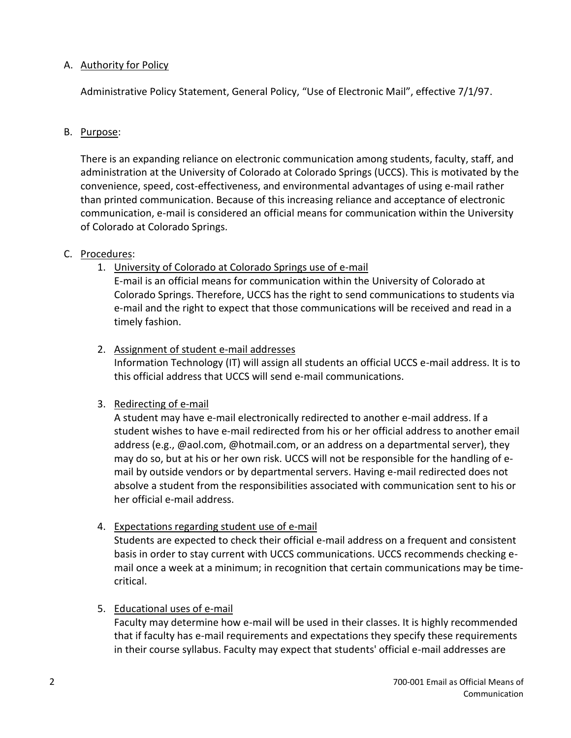#### A. Authority for Policy

Administrative Policy Statement, General Policy, "Use of Electronic Mail", effective 7/1/97.

#### B. Purpose:

There is an expanding reliance on electronic communication among students, faculty, staff, and administration at the University of Colorado at Colorado Springs (UCCS). This is motivated by the convenience, speed, cost-effectiveness, and environmental advantages of using e-mail rather than printed communication. Because of this increasing reliance and acceptance of electronic communication, e-mail is considered an official means for communication within the University of Colorado at Colorado Springs.

#### C. Procedures:

1. University of Colorado at Colorado Springs use of e-mail

E-mail is an official means for communication within the University of Colorado at Colorado Springs. Therefore, UCCS has the right to send communications to students via e-mail and the right to expect that those communications will be received and read in a timely fashion.

#### 2. Assignment of student e-mail addresses

Information Technology (IT) will assign all students an official UCCS e-mail address. It is to this official address that UCCS will send e-mail communications.

#### 3. Redirecting of e-mail

A student may have e-mail electronically redirected to another e-mail address. If a student wishes to have e-mail redirected from his or her official address to another email address (e.g., @aol.com, @hotmail.com, or an address on a departmental server), they may do so, but at his or her own risk. UCCS will not be responsible for the handling of email by outside vendors or by departmental servers. Having e-mail redirected does not absolve a student from the responsibilities associated with communication sent to his or her official e-mail address.

#### 4. Expectations regarding student use of e-mail

Students are expected to check their official e-mail address on a frequent and consistent basis in order to stay current with UCCS communications. UCCS recommends checking email once a week at a minimum; in recognition that certain communications may be timecritical.

#### 5. Educational uses of e-mail

Faculty may determine how e-mail will be used in their classes. It is highly recommended that if faculty has e-mail requirements and expectations they specify these requirements in their course syllabus. Faculty may expect that students' official e-mail addresses are